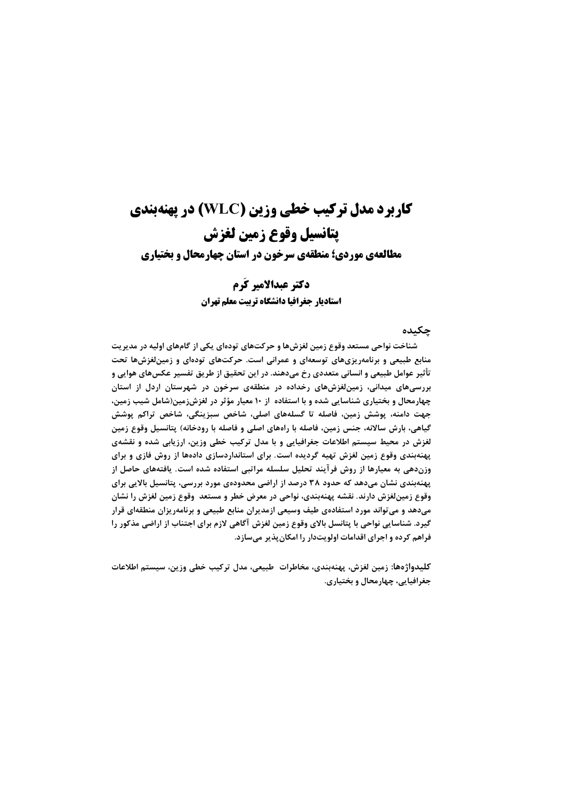# **کاربرد مدل ترکیب خطی وزین (WLC) در پهنهبندی** يتانسيل وقوع زمين لغزش

مطالعهی موردی؛ منطقهی سرخون در استان چهارمحال و بختیاری

### دكتر عيدالامير كُرم

استاديار جغرافيا دانشگاه تربيت معلم تهران

جكىدە

شناخت نواحی مستعد وقوع زمین لغزشها و حرکتهای تودهای یکی از گامهای اولیه در مدیریت منابع طبیعی و برنامهریزیهای توسعهای و عمرانی است. حرکتهای تودهای و زمینلغزشها تحت تأثیر عوامل طبیعی و انسانی متعددی رخ میدهند. در این تحقیق از طریق تفسیر عکسهای هوایی و بررسیهای میدانی، زمین لغزشهای رخداده در منطقهی سرخون در شهرستان اردل از استان چهارمحال و بختیاری شناسایی شده و با استفاده از ۱۰ معیار مؤثر در لغزشزمین(شامل شیب زمین، جهت دامنه، پوشش زمین، فاصله تا گسلههای اصلی، شاخص سبزینگی، شاخص تراکم پوشش گیاهی، بارش سالانه، جنس زمین، فاصله با راههای اصلی و فاصله با رودخانه) پتانسیل وقوع زمین لغزش در محیط سیستم اطلاعات جغرافیایی و با مدل ترکیب خطی وزین، ارزیابی شده و نقشهی پهنهبندی وقوع زمین لغزش تهیه گردیده است. برای استانداردسازی دادهها از روش فازی و برای وزندهی به معیارها از روش فرآیند تحلیل سلسله مراتبی استفاده شده است. یافتههای حاصل از پهنهبندي نشان مي٥هد که حدود ٣٨ درصد از اراضي محدودهي مورد بررسي، پتانسيل بالايي براي وقوع زمینلغزش دارند. نقشه پهنهبندی، نواحی در معرض خطر و مستعد وقوع زمین لغزش را نشان میدهد و می تواند مورد استفادهی طیف وسیعی ازمدیران منابع طبیعی و برنامهریزان منطقهای قرار گیرد. شناسایی نواحی با پتانسل بالای وقوع زمین لغزش آگاهی لازم برای اجتناب از اراضی مذکور را فراهم کرده و اجرای اقدامات اولویتدار را امکان پذیر میسازد.

كليدواژهها: زمين لغزش، پهنەبندي، مخاطرات ٍطبيعي، مدل تركيب خطي وزين، سيستم اطلاعات جغرافيايي، چهارمحال و بختياري.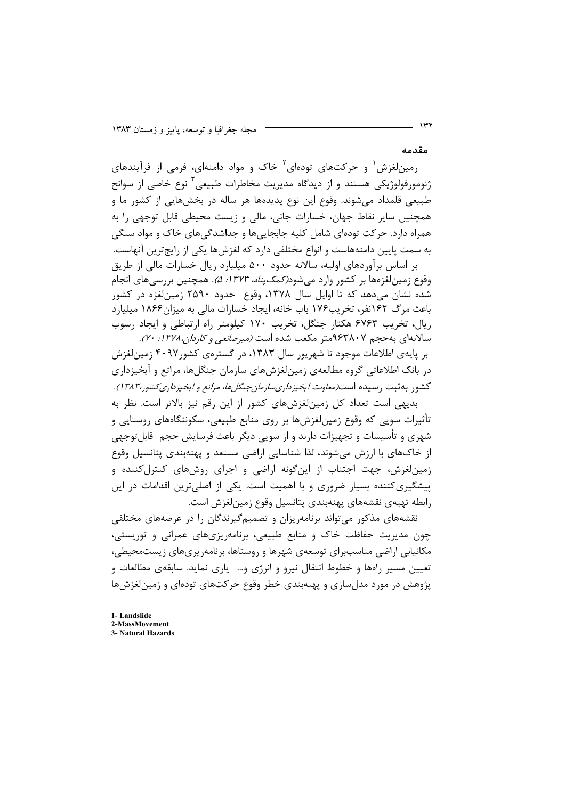مقدمه

زمینلغزش<sup>۱</sup> و حرکتهای تودهای<sup>۲</sup> خاک و مواد دامنهای، فرمی از فرآیندهای ژئومورفولوژیکی هستند و از دیدگاه مدیریت مخاطرات طبیعی ٰ نوع خاصی از سوانح طبیعی قلمداد میشوند. وقوع این نوع پدیدهها هر ساله در بخشهایی از کشور ما و همچنین سایر نقاط جهان، خسارات جانی، مالی و زیست محیطی قابل توجهی را به همراه دارد. حرکت تودهای شامل کلیه جابجایی ها و جداشدگی های خاک و مواد سنگی به سمت پایین دامنههاست و انواع مختلفی دارد که لغزشها یکی از رایجترین آنهاست. بر اساس برآوردهای اولیه، سالانه حدود ۵۰۰ میلیارد ریال خسارات مالی از طریق

وقوع زمینِلغزەها بر کشور وارد میشود*(کمک پناه، ۱۳۷۳: ۵).* همچنین بررسی@ای انجام شده نشان میدهد که تا اوایل سال ۱۳۷۸، وقوع حدود ۲۵۹۰ زمینلغزه در کشور باعث مرگ ۱۶۲نفر، تخریب۱۷۶ باب خانه، ایجاد خسارات مالی به میزان۱۸۶۶ میلیارد ریال، تخریب ۶۷۶۳ هکتار جنگل، تخریب ۱۷۰ کیلومتر راه ارتباطی و ایجاد رسوب سالانهای به حجم ۹۶۳۸۰۷متر مکعب شده است *(میرصانعی و کاردان،۱۳۷۸ : ۷۰).* 

بر پایهی اطلاعات موجود تا شهریور سال ۱۳۸۳، در گسترهی کشور۴۰۹۷ زمین لغزش در بانک اطلاعاتی گروه مطالعهی زمینلغزشهای سازمان جنگلها، مراتع و آبخیزداری کشور به ثبت رسیده است(*معاونت آبخیزداریسازمان جنگلها، مراتع و آبخیزداری کشور۱۳۸۲)*.

بدیهی است تعداد کل زمین لغزشهای کشور از این رقم نیز بالاتر است. نظر به تأثیرات سوپی که وقوع زمینِ لغزشها بر روی منابع طبیعی، سکونتگاههای روستایی و شهری و تأسیسات و تجهیزات دارند و از سویی دیگر باعث فرسایش حجم قابلتوجهی از خاکهای با ارزش می شوند، لذا شناسایی اراضی مستعد و پهنهبندی پتانسیل وقوع زمین لغزش، جهت اجتناب از اینگونه اراضی و اجرای روشهای کنترل کننده و پیشگیریکننده بسیار ضروری و با اهمیت است. یکی از اصلی ترین اقدامات در این رابطه تهيهى نقشههاى يهنهبندى يتانسيل وقوع زمين لغزش است.

نقشههای مذکور می تواند برنامه٫یزان و تصمیمگیرندگان را در عرصههای مختلفی چون مدیریت حفاظت خاک و منابع طبیعی، برنامهریزیهای عمرانی و توریستی، مکانیابی اراضی مناسببرای توسعهی شهرها و روستاها، برنامهریزیهای زیستمحیطی، تعیین مسیر راهها و خطوط انتقال نیرو و انرژی و… پاری نماید. سابقهی مطالعات و پژوهش در مورد مدل سازی و پهنهبندی خطر وقوع حرکتهای تودهای و زمین لغزشها

- 1-Landslide
- 2-MassMovement
- 3. Natural Hazards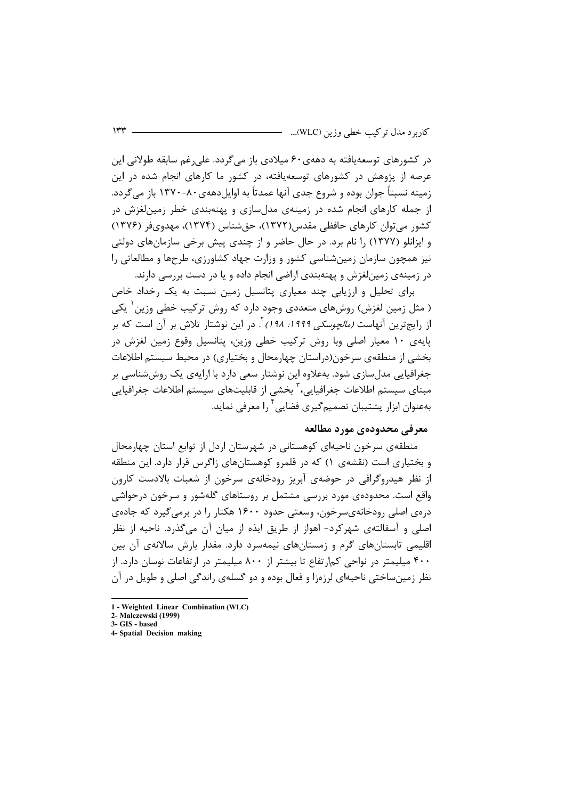در کشورهای توسعهپافته به دههی۶۰ میلادی باز میگردد. علی رغم سابقه طولانی این عرصه از پژوهش در کشورهای توسعهیافته، در کشور ما کارهای انجام شده در این زمینه نسبتاً جوان بوده و شروع جدی آنها عمدتاً به اوایل دههی ۸۰–۱۳۷۰ باز می گردد. از جمله کارهای انجام شده در زمینهی مدل سازی و پهنهبندی خطر زمین لغزش در کشور می توان کارهای حافظی مقدس(۱۳۷۲)، حق شناس (۱۳۷۴)، مهدوی فر (۱۳۷۶) و ایزانلو (۱۳۷۷) را نام برد. در حال حاضر و از چندی پیش برخی سازمانهای دولتی نیز همچون سازمان زمینشناسی کشور و وزارت جهاد کشاورزی، طرحها و مطالعاتی را در زمینهی زمینلغزش و پهنهبندی اراضی انجام داده و یا در دست بررسی دارند.

برای تحلیل و ارزیابی چند معیاری پتانسیل زمین نسبت به یک رخداد خاص ( مثل زمین لغزش) روشهای متعددی وجود دارد که روش ترکیب خطی وزین ٰ یکی از رایجترین آنهاست *(مالچوسکی ۱۹۹۹: ۱۹۸)* <sup>۲</sup>. در این نوشتار تلاش بر آن است که بر پایهی ۱۰ معیار اصلی وبا روش ترکیب خطی وزین، پتانسیل وقوع زمین لغزش در بخشی از منطقهی سرخون(دراستان چهارمحال و بختیاری) در محیط سیستم اطلاعات جغرافیایی مدلسازی شود. بهعلاوه این نوشتار سعی دارد با ارایهی یک روششناسی بر مبنای سیستم اطلاعات جغرافیایی،<sup>۳</sup> بخشی از قابلیتهای سیستم اطلاعات جغرافیایی بهعنوان ابزار پشتیبان تصمیمگیری فضایی ٔ را معرفی نماید.

#### معرفي محدودهي مورد مطالعه

منطقهی سرخون ناحیهای کوهستانی در شهرستان اردل از توابع استان چهارمحال و بختیاری است (نقشهی ۱) که در قلمرو کوهستانهای زاگرس قرار دارد. این منطقه از نظر هیدروگرافی در حوضهی آبریز رودخانهی سرخون از شعبات بالادست کارون واقع است. محدودهی مورد بررسی مشتمل بر روستاهای گلهشور و سرخون درحواشی درهی اصلی رودخانهیسرخون، وسعتی حدود ۱۶۰۰ هکتار را در برمی گیرد که جادهی اصلي و آسفالتهي شهركرد- اهواز از طريق ايذه از ميان آن مي گذرد. ناحيه از نظر اقلیمی تابستانهای گرم و زمستانهای نیمهسرد دارد. مقدار بارش سالانهی آن بین ۴۰۰ میلیمتر در نواحی کمارتفاع تا بیشتر از ۸۰۰ میلیمتر در ارتفاعات نوسان دارد. از نظر زمین ساختی ناحیهای لرزهزا و فعال بوده و دو گسلهی راندگی اصلی و طویل در آن

<sup>1 -</sup> Weighted Linear Combination (WLC)

<sup>2-</sup> Malczewski (1999) 3- GIS - based

<sup>4-</sup> Spatial Decision making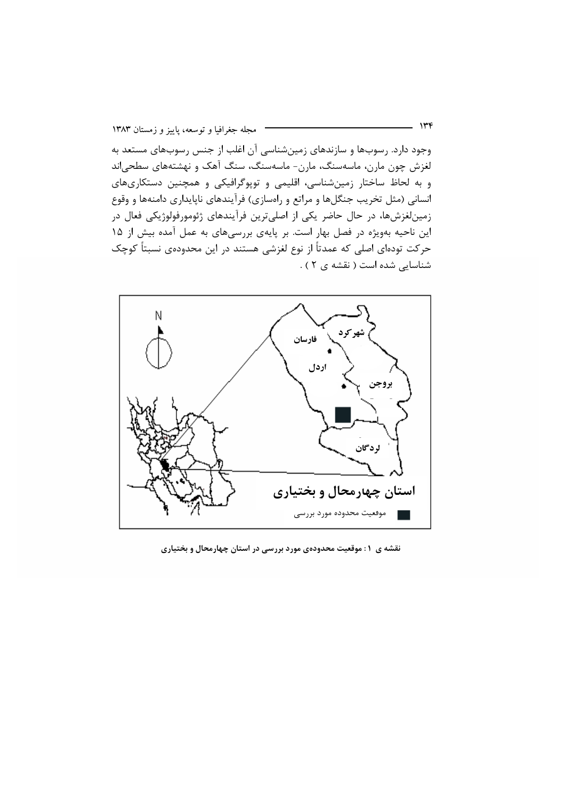وجود دارد. رسوبها و سازندهای زمینشناسی آن اغلب از جنس رسوبهای مستعد به لغزش چون مارن، ماسەسنگ، مارن- ماسەسنگ، سنگ آهک و نهشتههای سطحیاند و به لحاظ ساختار زمینشناسی، اقلیمی و توپوگرافیکی و همچنین دستکاریهای انسانی (مثل تخریب جنگلها و مراتع و راهسازی) فرآیندهای ناپایداری دامنهها و وقوع زمینلغزشها، در حال حاضر یکی از اصلیترین فرآیندهای ژئومورفولوژیکی فعال در این ناحیه بهویژه در فصل بهار است. بر پایهی بررسیهای به عمل آمده بیش از ۱۵ حرکت تودهای اصلی که عمدتاً از نوع لغزشی هستند در این محدودهی نسبتاً کوچک شناسایی شده است ( نقشه ی ۲ ) .



نقشه ی ۱: موقعیت محدودهی مورد بررسی در استان چهارمحال و بختیاری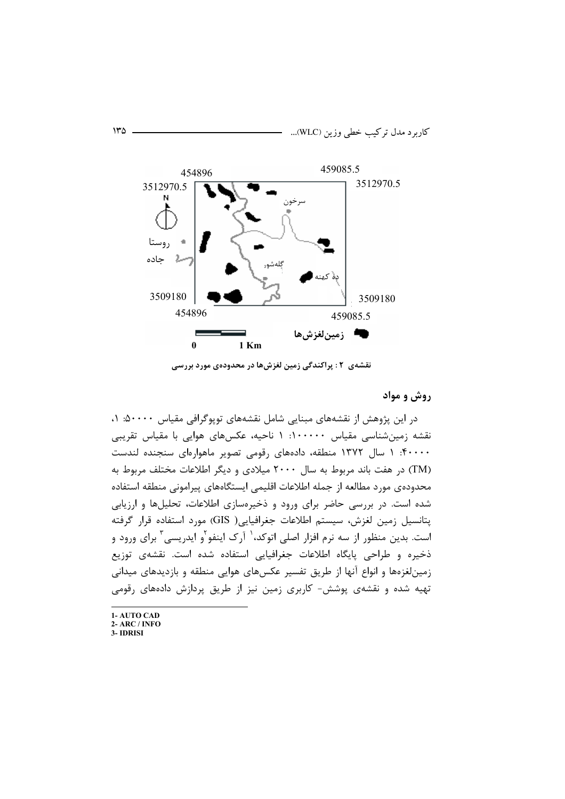

نقشهی ۲ : پراکندگی زمین لغزشها در محدودهی مورد بررسی

### روش و مواد

در این پژوهش از نقشههای مبنایی شامل نقشههای توپوگرافی مقیاس ۵۰۰۰۰: ۱، نقشه زمینشناسی مقیاس ۱۰۰۰۰۰: ۱ ناحیه، عکسهای هوایی با مقیاس تقریبی ۴۰۰۰۰: ۱ سال ۱۳۷۲ منطقه، دادههای رقومی تصویر ماهوارهای سنجنده لندست (TM) در هفت باند مربوط به سال ۲۰۰۰ میلادی و دیگر اطلاعات مختلف مربوط به محدودهى مورد مطالعه از جمله اطلاعات اقليمي ايستگاههاى پيرامونى منطقه استفاده شده است. در بررسی حاضر برای ورود و ذخیرهسازی اطلاعات، تحلیلها و ارزیابی پتانسیل زمین لغزش، سیستم اطلاعات جغرافیایی( GIS) مورد استفاده قرار گرفته است. بدین منظور از سه نرم افزار اصلی اتوکد،<sup>۱</sup> آرک اینفو<sup>۲</sup>و ایدریسی<sup>۳</sup> برای ورود و ذخیره و طراحی پایگاه اطلاعات جغرافیایی استفاده شده است. نقشهی توزیع زمینلغزهها و انواع آنها از طریق تفسیر عکسهای هوایی منطقه و بازدیدهای میدانی تهیه شده و نقشهی پوشش- کاربری زمین نیز از طریق پردازش دادههای رقومی

<sup>1-</sup> AUTO CAD 2- ARC / INFO 3- IDRISI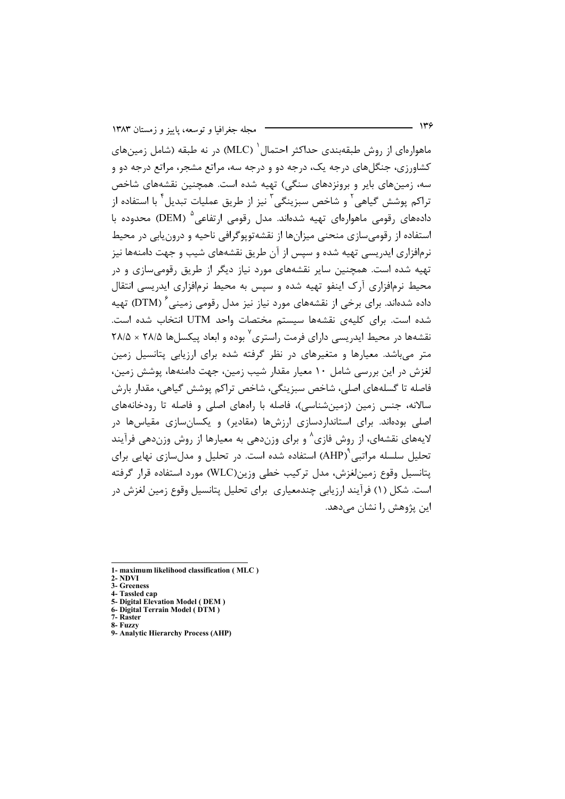مجله جغرافیا و توسعه، پاییز و زمستان ۱۳۸۳

ماهوارهای از روش طبقهبندی حداکثر احتمال <sup>(</sup> (MLC) در نه طبقه (شامل زمینهای کشاورزی، جنگل های درجه یک، درجه دو و درجه سه، مراتع مشجر، مراتع درجه دو و سه، زمینهای بایر و برونزدهای سنگی) تهیه شده است. همچنین نقشههای شاخص تراکم یوشش گیاهی<sup>۲</sup> و شاخص سبزینگی<sup>۳</sup> نیز از طریق عملیات تبدیل<sup>۴</sup> با استفاده از دادههای رقومی ماهوارهای تهیه شدهاند. مدل رقومی ارتفاعی<sup>۵</sup> (DEM) محدوده با استفاده از رقومی سازی منحنی میزانها از نقشهتویوگرافی ناحیه و درون پایی در محیط نرمافزاری ایدریسی تهیه شده و سپس از آن طریق نقشههای شیب و جهت دامنهها نیز تهیه شده است. همچنین سایر نقشههای مورد نیاز دیگر از طریق رقومی سازی و در محیط نرمافزاری آرک اینفو تهیه شده و سپس به محیط نرمافزاری ایدریسی انتقال داده شدهاند. برای برخی از نقشههای مورد نیاز نیز مدل رقومی زمینی<sup>۶</sup> (DTM) تهیه شده است. برای کلیهی نقشهها سیستم مختصات واحد UTM انتخاب شده است. نقشهها در محیط ایدریسی دارای فرمت راستری<sup>۷</sup> بوده و ابعاد پیکسلها ۲۸/۵ × ۲۸/۵ متر میباشد. معیارها و متغیرهای در نظر گرفته شده برای ارزیابی پتانسیل زمین لغزش در این بررسی شامل ۱۰ معیار مقدار شیب زمین، جهت دامنهها، پوشش زمین، فاصله تا گسلههای اصلی، شاخص سبزینگی، شاخص تراکم پوشش گیاهی، مقدار بارش سالانه، جنس زمین (زمینشناسی)، فاصله با راههای اصلی و فاصله تا رودخانههای اصلی بودهاند. برای استانداردسازی ارزشها (مقادیر) و یکسان،سازی مقیاسها در لایههای نقشهای، از روش فازی^ و برای وزندهی به معیارها از روش وزندهی فرآیند تحلیل سلسله مراتبی <sup>۹</sup>(AHP) استفاده شده است. در تحلیل و مدلسازی نهایی برای يتانسيل وقوع زمين لغزش، مدل تركيب خطى وزين(WLC) مورد استفاده قرار گرفته است. شکل (۱) فرآیند ارزیابی چندمعیاری برای تحلیل پتانسیل وقوع زمین لغزش در این پژوهش را نشان می دهد.

- $2 N\overline{D}VI$
- 3- Greeness 4- Tassled cap
- 5- Digital Elevation Model (DEM)
- 6- Digital Terrain Model (DTM)
- 7- Raster 8- Fuzzy

<sup>1-</sup> maximum likelihood classification (MLC)

<sup>9-</sup> Analytic Hierarchy Process (AHP)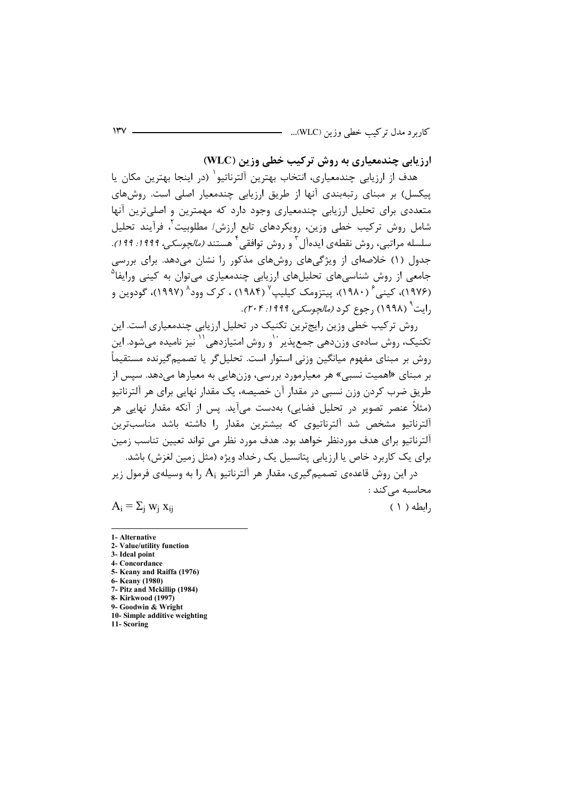ارزیابی چندمعیاری به روش ترکیب خطی وزین (WLC)

هدف از ارزیابی چندمعیاری، انتخاب بهترین آلترناتیو` (در اینجا بهترین مکان یا ییکسل) بر مبنای رتبهبندی آنها از طریق ارزیابی چندمعیار اصلی است. روشهای متعددی برای تحلیل ارزیابی چندمعیاری وجود دارد که مهمترین و اصلیترین آنها شامل روش ترکیب خطی وزین، رویکردهای تابع ارزش/ مطلوبیت ٌ، فرآیند تحلیل سلسله مراتبی، روش نقطهی ایدهآل<sup>۳</sup> و روش توافقی<sup>۴</sup> هستند *(مالچوسکی، ۱۹۹۹: ۱۹۹*). جدول (۱) خلاصهای از ویژگیهای روشهای مذکور را نشان میدهد. برای بررسی جامعی از روش شناسیهای تحلیلهای ارزیابی چندمعیاری میتوان به کینی ورایفا<sup>۵</sup> (۱۹۷۶)، کینے ۱۴۸۰)، پیتزومک کیلیپ<sup>y</sup> (۱۹۸۴) ، کرک وود<sup>۸</sup> (۱۹۹۷)، گودوین و ,ایت<sup>۹</sup> (۱۹۹۸) ,جوع کرد *(مالچوسکے ، ۱۹۹۹: ۲۰۴)*.

روش ترکیب خطی وزین رایجترین تکنیک در تحلیل ارزیابی چندمعیاری است. این تکنیک، روش سادهی وزندهی جمع پذیر ``و روش امتیازدهی `` نیز نامیده می شود. این روش پر مینای مفهوم میانگین وزنی استوار است. تحلیل گر یا تصمیم گیرنده مستقیماً بر مبنای «اهمیت نسبی» هر معیارمورد بررسی، وزنهایی به معیارها میدهد. سپس از طریق ضرب کردن وزن نسبی در مقدار آن خصیصه، یک مقدار نهایی برای هر آلترناتیو (مثلاً عنصر تصویر در تحلیل فضایی) بهدست میآید. پس از آنکه مقدار نهایی هر آلترناتیو مشخص شد آلترناتیوی که بیشترین مقدار را داشته باشد مناسبترین آلترناتیو برای هدف موردنظر خواهد بود. هدف مورد نظر می تواند تعیین تناسب زمین برای یک کاربرد خاص یا ارزیابی پتانسیل یک رخداد ویژه (مثل زمین لغزش) باشد.

در این روش قاعدهی تصمیم *گ*یری، مقدار هر آلترناتیو A<sub>i</sub> را به وسیلهی فرمول زیر محاسبه می کند :

 $A_i = \sum_i w_i x_{ii}$ 

 $( \ )$  ابطه $,$ 

- 3- Ideal point
- 4- Concordance
- 5- Keany and Raiffa (1976)
- 6- Keany (1980)
- 7- Pitz and Mckillip (1984) 8- Kirkwood (1997)
- 9- Goodwin & Wright
- 10- Simple additive weighting
- 11-Scoring

<sup>1-</sup> Alternative 2- Value/utility function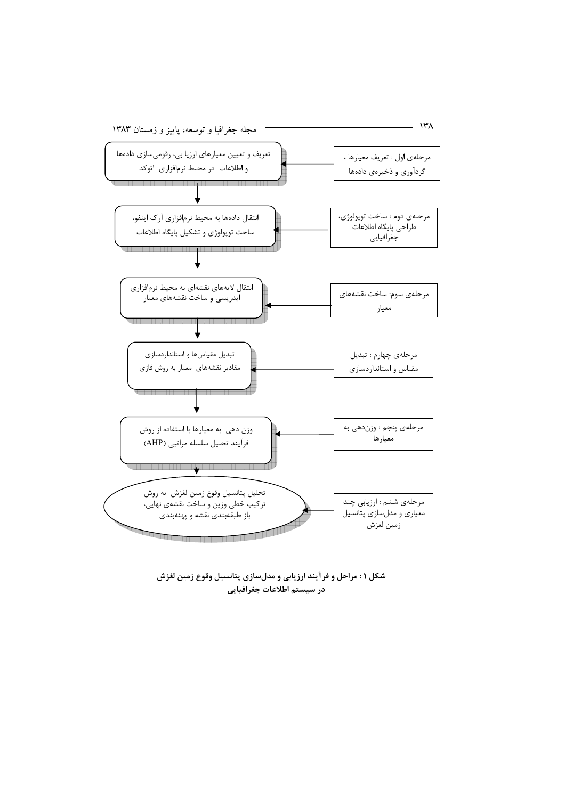

شکل ۱: مراحل و فرآیند ارزیابی و مدلسازی پتانسیل وقوع زمین لغزش در سيستم اطلاعات جغرافيايي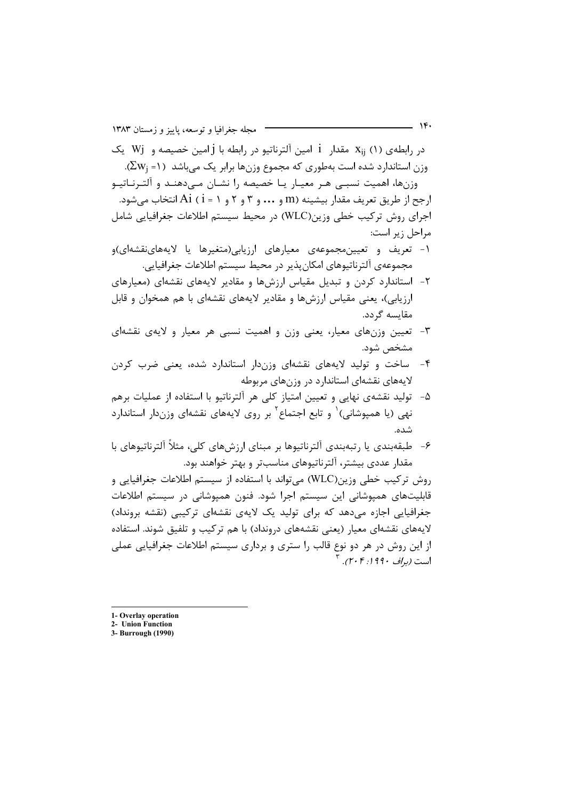در رابطه (۱) (۱) X<sub>ii</sub> مقدار 1 امین آلترناتیو در رابطه با j امین خصیصه و Wj یک وزن استاندارد شده است بهطوری که مجموع وزنها برابر یک میباشد (۱= ,2w<sub>i</sub>). وزنها، اهمیت نسبے هـر معیـار یـا خصیصه را نشـان مـی‹هنـد و آلتـرنـاتیـو ارجح از طريق تعريف مقدار بيشينه (m و ... و ٣ و ٢ و ١ = i) أنتخاب ميشود. اجرای روش ترکیب خطی وزین(WLC) در محیط سیستم اطلاعات جغرافیایی شامل مراحل زير است:

- ۱- تعریف و تعیین مجموعهی معیارهای ارزیابی(متغیرها یا لایههاینقشهای)و مجموعهي آلترناتيوهاي امكان يذير در محيط سيستم اطلاعات جغرافيايي.
- ۲- استاندارد کردن و تبدیل مقیاس ارزشها و مقادیر لایههای نقشهای (معیارهای ارزیابی)، یعنی مقیاس ارزشها و مقادیر لایههای نقشهای با هم همخوان و قابل مقايسه گردد.
- ۳- تعیین وزنهای معیار، یعنی وزن و اهمیت نسبی هر معیار و لایهی نقشهای مشخص شود.
- ۴- ساخت و تولید لایههای نقشهای وزندار استاندارد شده، یعنی ضرب کردن لایههای نقشهای استاندارد در وزنهای مربوطه
- ۵- تولید نقشهی نهایی و تعیین امتیاز کلی هر آلترناتیو با استفاده از عملیات برهم نهی (یا همیوشانی) و تابع اجتماع ٔ بر روی لایههای نقشهای وزندار استاندارد شده.
- ۶– طبقهبندی یا رتبهبندی آلترناتیوها بر مبنای ارزشهای کلی، مثلاً آلترناتیوهای با مقدار عددی بیشتر، آلترناتیوهای مناسبتر و بهتر خواهند بود.

روش تركيب خطي وزين(WLC) مي تواند با استفاده از سيستم اطلاعات جغرافيايي و قابلیتهای همپوشانی این سیستم اجرا شود. فنون همپوشانی در سیستم اطلاعات جغرافیایی اجازه میدهد که برای تولید یک لایهی نقشهای ترکیبی (نقشه برونداد) لایههای نقشهای معیار (یعنی نقشههای درونداد) با هم ترکیب و تلفیق شوند. استفاده از این روش در هر دو نوع قالب را ستری و برداری سیستم اطلاعات جغرافیایی عملی است *(مراف ۱۹۹۰: ۲۰۴۰)*.

 $\mathcal{N}$ 

<sup>1-</sup> Overlay operation

<sup>2-</sup> Union Function

<sup>3-</sup> Burrough (1990)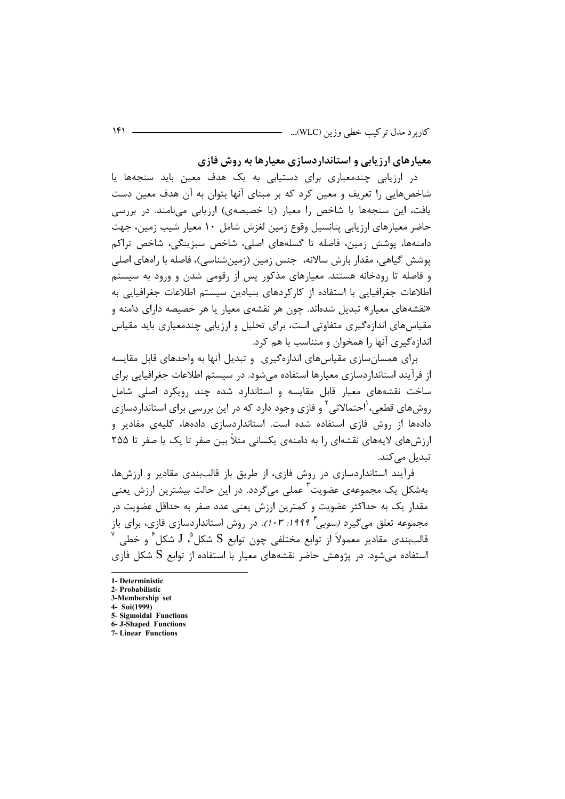معیارهای ارزیابی و استانداردسازی معیارها به روش فازی

در ارزیابی چندمعیاری برای دستیابی به یک هدف معین باید سنجهها یا شاخصهایی را تعریف و معین کرد که بر مبنای آنها بتوان به آن هدف معین دست یافت، این سنجهها یا شاخص را معیار (یا خصیصهی) ارزیابی مینامند. در بررسی حاضر معیارهای ارزیابی پتانسیل وقوع زمین لغزش شامل ۱۰ معیار شیب زمین، جهت دامنهها، پوشش زمین، فاصله تا گسلههای اصلی، شاخص سبزینگی، شاخص تراکم پوشش گیاهی، مقدار بارش سالانه، جنس زمین (زمینشناسی)، فاصله با راههای اصلی و فاصله تا رودخانه هستند. معیارهای مذکور پس از رقومی شدن و ورود به سیستم اطلاعات جغرافیایی با استفاده از کارکردهای بنیادین سیستم اطلاعات جغرافیایی به «نقشههای معیار» تبدیل شدهاند. چون هر نقشهی معیار یا هر خصیصه دارای دامنه و مقیاسهای اندازهگیری متفاوتی است، برای تحلیل و ارزیابی چندمعیاری باید مقیاس اندازهگیری آنها را همخوان و متناسب با هم کرد.

برای همسانسازی مقیاسهای اندازهگیری و تبدیل آنها به واحدهای قابل مقایسه ا; فرآیند استاندار دسازی معیارها استفاده می شود. در سیستم اطلاعات جغرافیایی برای ساخت نقشههای معیار قابل مقایسه و استاندارد شده چند رویکرد اصلی شامل روشهای قطعی، ٰاحتمالاتی ٔ و فازی وجود دارد که در این بررسی برای استانداردسازی دادهها از روش فازی استفاده شده است. استانداردسازی دادهها، کلیهی مقادیر و ارزشهای لایههای نقشهای را به دامنهی یکسانی مثلاً بین صفر تا یک یا صفر تا ۲۵۵ تبدیل مے کند.

فرآیند استانداردسازی در روش فازی، از طریق باز قالببندی مقادیر و ارزشها، بهشکل یک مجموعهی عضویت<sup>۳</sup> عملی میگردد. در این حالت بیشترین ارزش یعنی مقدار یک به حداکثر عضویت و کمترین ارزش یعنی عدد صفر به حداقل عضویت در مجموعه تعلق میگیرد *(سویی<sup>† ۱۹۹۹؛ ۱۰۳)*. در روش استانداردسازی فازی، برای باز</sup> قالببندي مقادير معمولاً از توابع مختلفي چون توابع S شکل <sup>0</sup>، J شکل ۴ و خطي استفاده مرشود. در پژوهش حاضر نقشههای معبار با استفاده از توابع S شکل فازی

- 6- J-Shaped Functions
- **7-Linear Functions**

<sup>1-</sup> Deterministic

<sup>2.</sup> Probabilistic

<sup>3-</sup>Membership set 4- Sui(1999)

<sup>5-</sup> Sigmoidal Functions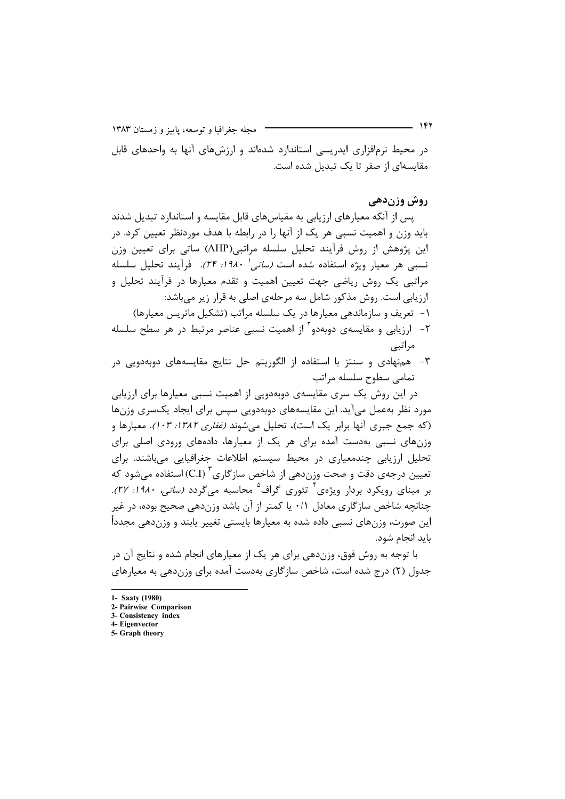مجله جغرافیا و توسعه، پاییز و زمستان ۱۳۸۳

در محیط نرمافزاری ایدریسی استاندارد شدهاند و ارزشهای آنها به واحدهای قابل مقایسهای از صفر تا یک تبدیل شده است.

#### روش وزندهي

پس از آنکه معیارهای ارزیابی به مقیاسهای قابل مقایسه و استاندارد تبدیل شدند باید وزن و اهمیت نسبی هر یک از آنها را در رابطه با هدف موردنظر تعیین کرد. در این پژوهش از روش فرآیند تحلیل سلسله مراتبی(AHP) ساتی برای تعیین وزن نسبي هر معيار ويژه استفاده شده است *(ساتي<sup>, ۱</sup>۹۸۰؛ ۲۴).* فرآيند تحليل سلسله مراتبی یک روش ریاضی جهت تعیین اهمیت و تقدم معیارها در فرآیند تحلیل و ارزیابی است. روش مذکور شامل سه مرحلهی اصلی به قرار زیر میباشد: ۱- تعریف و سازماندهی معیارها در یک سلسله مراتب (تشکیل ماتریس معیارها)

- ۲- ارزیابی و مقایسهی دوبهدو<sup>۲</sup> از اهمیت نسبی عناصر مرتبط در هر سطح سلسله مراتبي
- ۳- هم نهادی و سنتز با استفاده از الگوریتم حل نتایج مقایسههای دوبهدویی در تمامى سطوح سلسله مراتب

در این روش یک سری مقایسهی دوبهدویی از اهمیت نسبی معیارها برای ارزیابی مورد نظر بهعمل می آید. این مقایسههای دوبهدویی سپس برای ایجاد یکسری وزنها (که جمع جبری آنها برابر یک است)، تحلیل می شوند *(غفاری ۱۳۸۲: ۱۰۳).* معیارها و وزنهای نسبی بهدست آمده برای هر یک از معیارها، دادههای ورودی اصلی برای تحلیل ارزیابی چندمعیاری در محیط سیستم اطلاعات جغرافیایی میباشند. برای تعیین درجهی دقت و صحت وزندهی از شاخص سازگاری <sup>۲</sup> (C.I) استفاده میشود که بر مبنای رویکرد بردار ویژهی<sup>۲</sup> تئوری گراف<sup>۵</sup> محاسبه میگردد *(ساتی، ۱۹۸۰: ۲۷).* چنانچه شاخص سازگاری معادل ۰/۱ یا کمتر از آن باشد وزندهی صحیح بوده، در غیر این صورت، وزنهای نسبی داده شده به معیارها بایستی تغییر یابند و وزندهی مجدداً بايد انجام شود.

با توجه به روش فوق، وزندهی برای هر یک از معیارهای انجام شده و نتایج آن در جدول (۲) درج شده است، شاخص سازگاری بهدست آمده برای وزندهی به معیارهای

<sup>1-</sup> Saatv (1980)

<sup>2-</sup> Pairwise Comparison

<sup>3-</sup> Consistency index 4- Eigenvector

<sup>5-</sup> Graph theory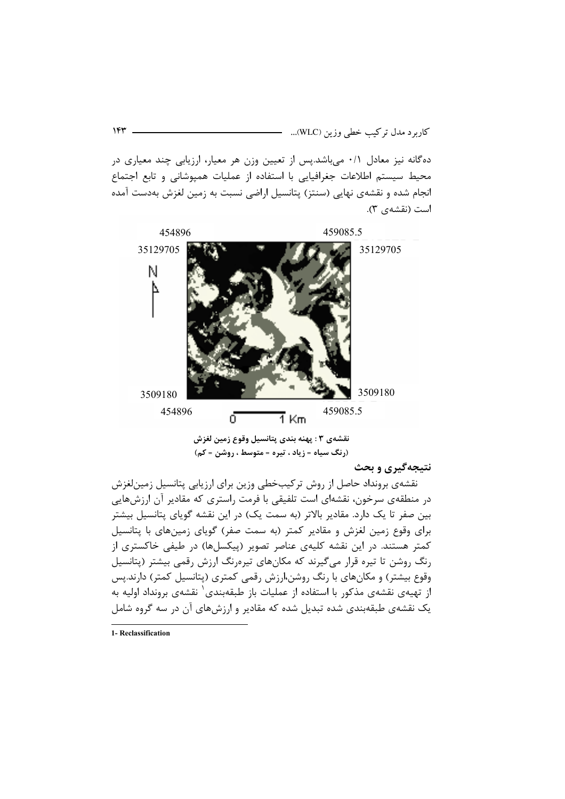دهگانه نیز معادل ۰/۱ میباشد.پس از تعیین وزن هر معیار، ارزیابی چند معیاری در محیط سیستم اطلاعات جغرافیایی با استفاده از عملیات همپوشانی و تابع اجتماع انجام شده و نقشهی نهایی (سنتز) پتانسیل اراضی نسبت به زمین لغزش بهدست آمده است (نقشهی ۳).



نقشەي ٣ : پهنه بندي پتانسيل وقوع زمين لغزش (رنگ سياه = زياد ، تيره = متوسط ، روشن = كم)

نتیجهگیری و بحث

نقشهی برونداد حاصل از روش ترکیبخطی وزین برای ارزیابی پتانسیل زمینلغزش در منطقهی سرخون، نقشهای است تلفیقی با فرمت راستری که مقادیر آن ارزشهایی بین صفر تا یک دارد. مقادیر بالاتر (به سمت یک) در این نقشه گویای پتانسیل بیشتر برای وقوع زمین لغزش و مقادیر کمتر (به سمت صفر) گویای زمینهای با پتانسیل کمتر هستند. در این نقشه کلیهی عناصر تصویر (پیکسلها) در طیفی خاکستری از رنگ روشن تا تیره قرار میگیرند که مکانهای تیرهرنگ ارزش رقمی بیشتر (پتانسیل وقوع بیشتر) و مکان های با رنگ روشن،ارزش رقمی کمتری (پتانسیل کمتر) دارند.پس از تهیهی نقشهی مذکور با استفاده از عملیات باز طبقهبندی` نقشهی برونداد اولیه به یک نقشهی طبقهبندی شده تبدیل شده که مقادیر و ارزشهای آن در سه گروه شامل

<sup>1-</sup> Reclassification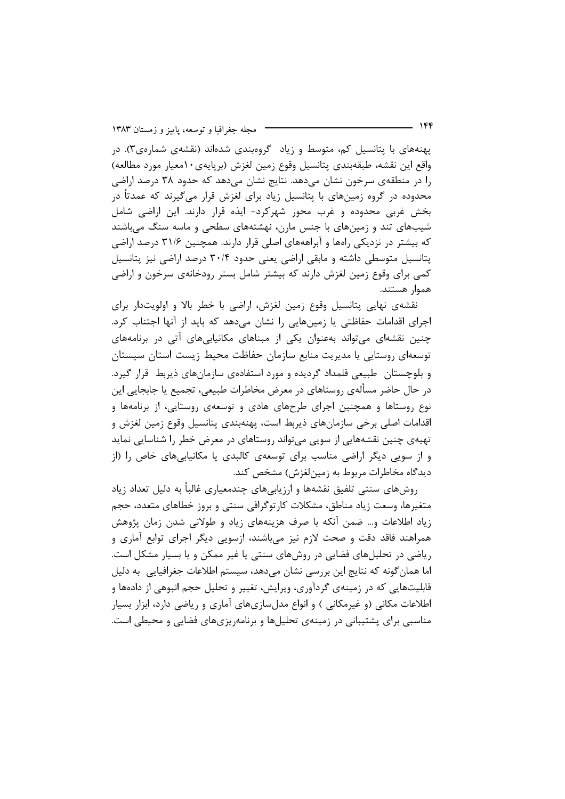پهنههای با پتانسیل کم، متوسط و زیاد گروهبندی شدهاند (نقشهی شمارهی۳). در واقع اين نقشه، طبقهبندي پتانسيل وقوع زمين لغزش (برپايهي١٠معيار مورد مطالعه) را در منطقهی سرخون نشان میدهد. نتایج نشان میدهد که حدود ۳۸ درصد اراضی محدوده در گروه زمینهای با پتانسیل زیاد برای لغزش قرار میگیرند که عمدتاً در بخش غربی محدوده و غرب محور شهرکرد- ایذه قرار دارند. این اراضی شامل شیبهای تند و زمینهای با جنس مارن، نهشتههای سطحی و ماسه سنگ می باشند که بیشتر در نزدیکی راهها و آبراهههای اصلی قرار دارند. همچنین ۳۱/۶ درصد اراضی پتانسیل متوسطی داشته و مابقی اراضی یعنی حدود ۳۰/۴ درصد اراضی نیز پتانسیل کمی برای وقوع زمین لغزش دارند که بیشتر شامل بستر رودخانهی سرخون و اراضی هموار هستند.

نقشهی نهایی پتانسیل وقوع زمین لغزش، اراضی با خطر بالا و اولویتدار برای اجرای اقدامات حفاظتی یا زمینهایی را نشان میدهد که باید از آنها اجتناب کرد. چنین نقشهای می;تواند بهعنوان یکی از مبناهای مکانیاییهای آتی در برنامههای توسعهای روستایی یا مدیریت منابع سازمان حفاظت محیط زیست استان سیستان و بلوچستان طبیعی قلمداد گردیده و مورد استفادهی سازمانهای ذیربط قرار گیرد. در حال حاضر مسألهي روستاهاي در معرض مخاطرات طبيعي، تجميع يا جابجايي اين نوع روستاها و همچنین اجرای طرحهای هادی و توسعهی روستایی، از برنامهها و اقدامات اصلی برخی سازمانهای ذیربط است، پهنهبندی پتانسیل وقوع زمین لغزش و تهیهی چنین نقشههایی از سویی میتواند روستاهای در معرض خطر را شناسایی نماید و از سویی دیگر اراضی مناسب برای توسعهی کالبدی یا مکانیابیهای خاص را (از ديدگاه مخاطرات مربوط به زمين لغزش) مشخص كند.

روشهای سنتی تلفیق نقشهها و ارزیابیهای چندمعیاری غالباً به دلیل تعداد زیاد متغیرها، وسعت زیاد مناطق، مشکلات کارتوگرافی سنتی و بروز خطاهای متعدد، حجم زیاد اطلاعات و… ضمن آنکه با صرف هزینههای زیاد و طولانی شدن زمان پژوهش همراهند فاقد دقت و صحت لازم نیز می باشند، ازسویی دیگر اجرای توابع آماری و ریاضی در تحلیلهای فضایی در روشهای سنتی یا غیر ممکن و یا بسیار مشکل است. اما همان گونه که نتایج این بررسی نشان میدهد، سیستم اطلاعات جغرافیایی به دلیل قابلیتهایی که در زمینهی گردآوری، ویرایش، تغییر و تحلیل حجم انبوهی از دادهها و اطلاعات مکانی (و غیرمکانی ) و انواع مدلسازیهای آماری و ریاضی دارد، ابزار بسیار مناسبی برای پشتیبانی در زمینهی تحلیلها و برنامهریزیهای فضایی و محیطی است.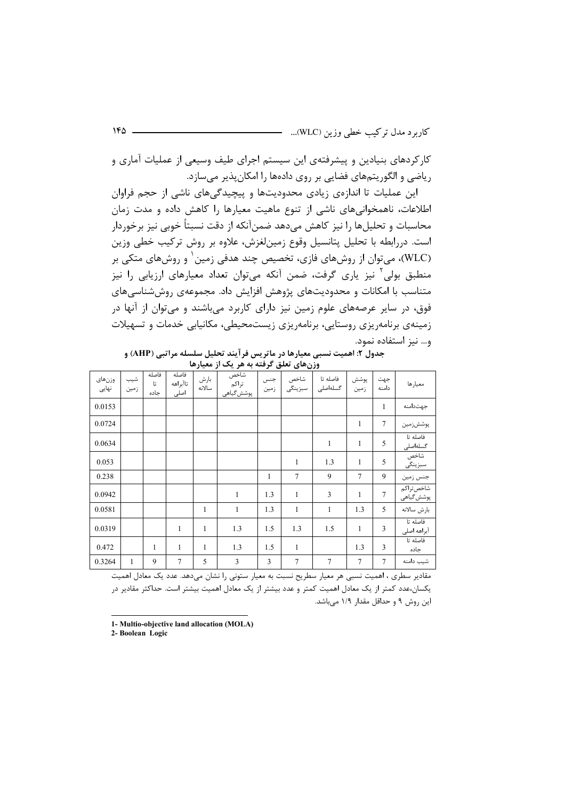کارکردهای بنیادین و پیشرفتهی این سیستم اجرای طیف وسیعی از عملیات آماری و ریاضی و الگوریتمهای فضایی بر روی دادهها را امکانپذیر میسازد.

این عملیات تا اندازهی زیادی محدودیتها و پیچیدگیهای ناشی از حجم فراوان اطلاعات، ناهمخوانیهای ناشی از تنوع ماهیت معیارها را کاهش داده و مدت زمان محاسبات و تحلیل ها را نیز کاهش مے دهد ضمنآنکه از دقت نسبتاً خوبی نیز برخوردار است. دررابطه با تحلیل پتانسیل وقوع زمینلغزش، علاوه بر روش ترکیب خطی وزین (WLC)، میتوان از روشهای فازی، تخصیص چند هدفی زمین ٰ و روشهای متکی بر منطبق بولی ٔ نیز پاری گرفت، ضمن آنکه میتوان تعداد معیارهای ارزیابی را نیز متناسب با امکانات و محدودیتهای پژوهش افزایش داد. مجموعهی روششناسیهای فوق، در سایر عرصههای علوم زمین نیز دارای کاربرد میباشند و می توان از آنها در زمینهی برنامهریزی روستایی، برنامهریزی زیستمحیطی، مکانیابی خدمات و تسهیلات و... نیز استفاده نمود.

| جدول ۲: اهمیت نسبی معیارها در ماتریس فرآیند تحلیل سلسله مراتبی (AHP) و |  |
|------------------------------------------------------------------------|--|
| وزنهای تعلق گرفته به هر یک از معیارها                                  |  |

|                 | ورن متی تعلق ترتیبه په مر یک از سیار ما |                     |                           |                |                             |                |                 |                      |                |                |                         |  |
|-----------------|-----------------------------------------|---------------------|---------------------------|----------------|-----------------------------|----------------|-----------------|----------------------|----------------|----------------|-------------------------|--|
| وزنهاى<br>نہایی | شيب<br>زمين                             | فاصله<br>تا<br>حاده | فاصله<br>تاآبراهه<br>اصلى | بارش<br>سالانه | شاخص<br>تراكم<br>پوشش گیاهی | جنس<br>زمين    | شاخص<br>سبزينگى | فاصله تا<br>گسلەاصلى | پوشش<br>زمين   | جهت<br>دامنه   | معيارها                 |  |
| 0.0153          |                                         |                     |                           |                |                             |                |                 |                      |                | $\mathbf{1}$   | جهتدامنه                |  |
| 0.0724          |                                         |                     |                           |                |                             |                |                 |                      | 1              | $\tau$         | پوششزمین                |  |
| 0.0634          |                                         |                     |                           |                |                             |                |                 | $\mathbf{1}$         | $\mathbf{1}$   | 5              | فاصله تا<br>گسلەاصلى    |  |
| 0.053           |                                         |                     |                           |                |                             |                | $\mathbf{1}$    | 1.3                  | $\mathbf{1}$   | 5              | شاخص<br>سبزينگى         |  |
| 0.238           |                                         |                     |                           |                |                             | 1              | $\overline{7}$  | 9                    | $\overline{7}$ | 9              | جنس زمين                |  |
| 0.0942          |                                         |                     |                           |                | $\mathbf{1}$                | 1.3            | $\mathbf{1}$    | 3                    | $\mathbf{1}$   | $\overline{7}$ | شاخصتراكم<br>پوشش گیاهی |  |
| 0.0581          |                                         |                     |                           | 1              | $\mathbf{1}$                | 1.3            | $\mathbf{1}$    | $\mathbf{1}$         | 1.3            | 5              | بارش سالانه             |  |
| 0.0319          |                                         |                     | $\mathbf{1}$              | 1              | 1.3                         | 1.5            | 1.3             | 1.5                  | $\mathbf{1}$   | 3              | فاصله تا<br>آبراهه اصلى |  |
| 0.472           |                                         | 1                   | $\mathbf{1}$              | 1              | 1.3                         | 1.5            | $\mathbf{1}$    |                      | 1.3            | 3              | فاصله تا<br>جاده        |  |
| 0.3264          | 1                                       | 9                   | $\overline{7}$            | 5              | 3                           | $\overline{3}$ | $\overline{7}$  | $\overline{7}$       | $\overline{7}$ | $\tau$         | شيب دامنه               |  |

مقادیر سطری ، اهمیت نسبی هر معیار سطریح نسبت به معیار ستونی را نشان میدهد. عدد یک معادل اهمیت یکسان،عدد کمتر از یک معادل اهمیت کمتر و عدد بیشتر از یک معادل اهمیت بیشتر است. حداکثر مقادیر در این روش ۹ و حداقل مقدار ۱/۹ میباشد.

2- Boolean Logic

<sup>1-</sup> Multio-objective land allocation (MOLA)